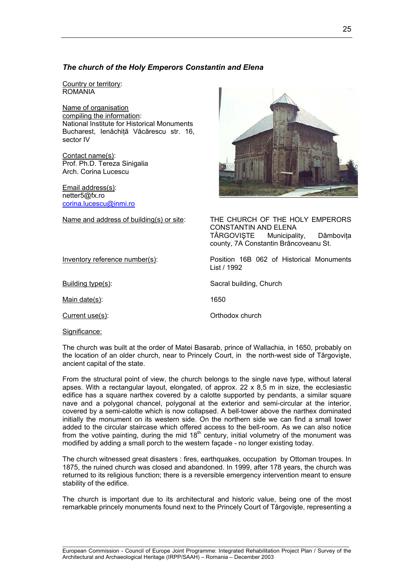# *The church of the Holy Emperors Constantin and Elena*

Country or territory: ROMANIA

Name of organisation compiling the information: National Institute for Historical Monuments Bucharest, Ienăchiţă Văcărescu str. 16, sector IV

Contact name(s): Prof. Ph.D. Tereza Sinigalia Arch. Corina Lucescu

Email address(s): netter5@fx.ro [corina.lucescu@inmi.ro](mailto:corina.lucescu@inmi.ro)



Name and address of building(s) or site: THE CHURCH OF THE HOLY EMPERORS CONSTANTIN AND ELENA TÂRGOVISTE Municipality, Dâmbovita county, 7A Constantin Brâncoveanu St.

Inventory reference number(s): Position 16B 062 of Historical Monuments

Building type(s): Sacral building, Church

Main date(s): 1650

Current use(s): Current use(s):

List / 1992

Significance:

The church was built at the order of Matei Basarab, prince of Wallachia, in 1650, probably on the location of an older church, near to Princely Court, in the north-west side of Târgovişte, ancient capital of the state.

From the structural point of view, the church belongs to the single nave type, without lateral apses. With a rectangular layout, elongated, of approx. 22 x 8,5 m in size, the ecclesiastic edifice has a square narthex covered by a calotte supported by pendants, a similar square nave and a polygonal chancel, polygonal at the exterior and semi-circular at the interior, covered by a semi-calotte which is now collapsed. A bell-tower above the narthex dominated initially the monument on its western side. On the northern side we can find a small tower added to the circular staircase which offered access to the bell-room. As we can also notice from the votive painting, during the mid  $18<sup>th</sup>$  century, initial volumetry of the monument was modified by adding a small porch to the western façade - no longer existing today.

The church witnessed great disasters : fires, earthquakes, occupation by Ottoman troupes. In 1875, the ruined church was closed and abandoned. In 1999, after 178 years, the church was returned to its religious function; there is a reversible emergency intervention meant to ensure stability of the edifice.

The church is important due to its architectural and historic value, being one of the most remarkable princely monuments found next to the Princely Court of Târgovişte, representing a

 $\_$  , and the set of the set of the set of the set of the set of the set of the set of the set of the set of the set of the set of the set of the set of the set of the set of the set of the set of the set of the set of th European Commission - Council of Europe Joint Programme: Integrated Rehabilitation Project Plan / Survey of the Architectural and Archaeological Heritage (IRPP/SAAH) – Romania – December 2003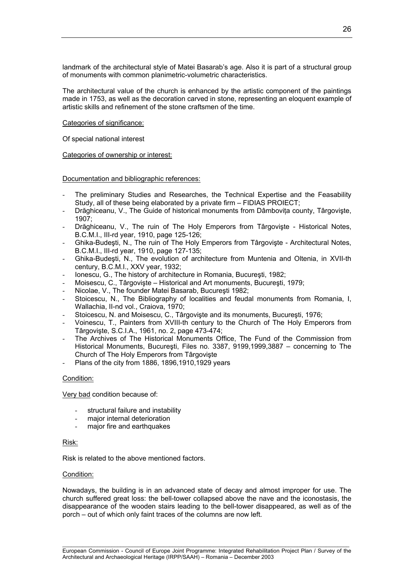landmark of the architectural style of Matei Basarab's age. Also it is part of a structural group of monuments with common planimetric-volumetric characteristics.

The architectural value of the church is enhanced by the artistic component of the paintings made in 1753, as well as the decoration carved in stone, representing an eloquent example of artistic skills and refinement of the stone craftsmen of the time.

# Categories of significance:

Of special national interest

Categories of ownership or interest:

Documentation and bibliographic references:

- The preliminary Studies and Researches, the Technical Expertise and the Feasability Study, all of these being elaborated by a private firm – FIDIAS PROIECT;
- Drăghiceanu, V., The Guide of historical monuments from Dâmbovita county, Târgoviste, 1907;
- Drăghiceanu, V., The ruin of The Holy Emperors from Târgoviște Historical Notes, B.C.M.I., III-rd year, 1910, page 125-126;
- Ghika-Budești, N., The ruin of The Holy Emperors from Târgoviște Architectural Notes, B.C.M.I., III-rd year, 1910, page 127-135;
- Ghika-Budeşti, N., The evolution of architecture from Muntenia and Oltenia, in XVII-th century, B.C.M.I., XXV year, 1932;
- Ionescu, G., The history of architecture in Romania, Bucureşti, 1982;
- Moisescu, C., Târgovişte Historical and Art monuments, Bucureşti, 1979;
- Nicolae, V., The founder Matei Basarab, Bucureşti 1982;
- Stoicescu, N., The Bibliography of localities and feudal monuments from Romania, I, Wallachia, II-nd vol., Craiova, 1970;
- Stoicescu, N. and Moisescu, C., Târgoviște and its monuments, București, 1976;
- Voinescu, T., Painters from XVIII-th century to the Church of The Holy Emperors from Târgovişte, S.C.I.A., 1961, no. 2, page 473-474;
- The Archives of The Historical Monuments Office, The Fund of the Commission from Historical Monuments, Bucureşti, Files no. 3387, 9199,1999,3887 – concerning to The Church of The Holy Emperors from Târgovişte
- Plans of the city from 1886, 1896, 1910, 1929 years

# Condition:

Very bad condition because of:

- structural failure and instability
- major internal deterioration
- major fire and earthquakes

# Risk:

Risk is related to the above mentioned factors.

# Condition:

Nowadays, the building is in an advanced state of decay and almost improper for use. The church suffered great loss: the bell-tower collapsed above the nave and the iconostasis, the disappearance of the wooden stairs leading to the bell-tower disappeared, as well as of the porch – out of which only faint traces of the columns are now left.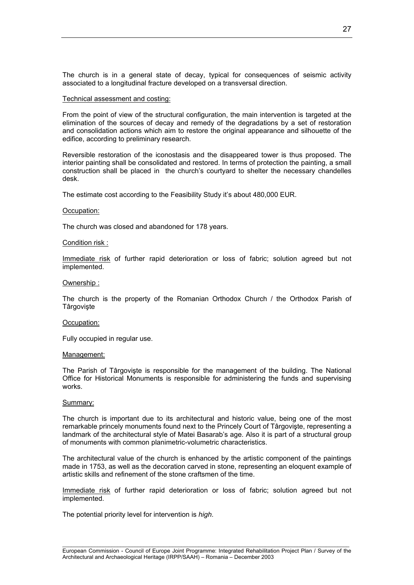The church is in a general state of decay, typical for consequences of seismic activity associated to a longitudinal fracture developed on a transversal direction.

### Technical assessment and costing:

From the point of view of the structural configuration, the main intervention is targeted at the elimination of the sources of decay and remedy of the degradations by a set of restoration and consolidation actions which aim to restore the original appearance and silhouette of the edifice, according to preliminary research.

Reversible restoration of the iconostasis and the disappeared tower is thus proposed. The interior painting shall be consolidated and restored. In terms of protection the painting, a small construction shall be placed in the church's courtyard to shelter the necessary chandelles desk.

The estimate cost according to the Feasibility Study it's about 480,000 EUR.

### Occupation:

The church was closed and abandoned for 178 years.

### Condition risk :

Immediate risk of further rapid deterioration or loss of fabric; solution agreed but not implemented.

### Ownership :

The church is the property of the Romanian Orthodox Church / the Orthodox Parish of **Târgoviste** 

### Occupation:

Fully occupied in regular use.

### Management:

The Parish of Târgovişte is responsible for the management of the building. The National Office for Historical Monuments is responsible for administering the funds and supervising works.

## Summary:

The church is important due to its architectural and historic value, being one of the most remarkable princely monuments found next to the Princely Court of Târgovişte, representing a landmark of the architectural style of Matei Basarab's age. Also it is part of a structural group of monuments with common planimetric-volumetric characteristics.

The architectural value of the church is enhanced by the artistic component of the paintings made in 1753, as well as the decoration carved in stone, representing an eloquent example of artistic skills and refinement of the stone craftsmen of the time.

Immediate risk of further rapid deterioration or loss of fabric; solution agreed but not implemented.

The potential priority level for intervention is *high*.